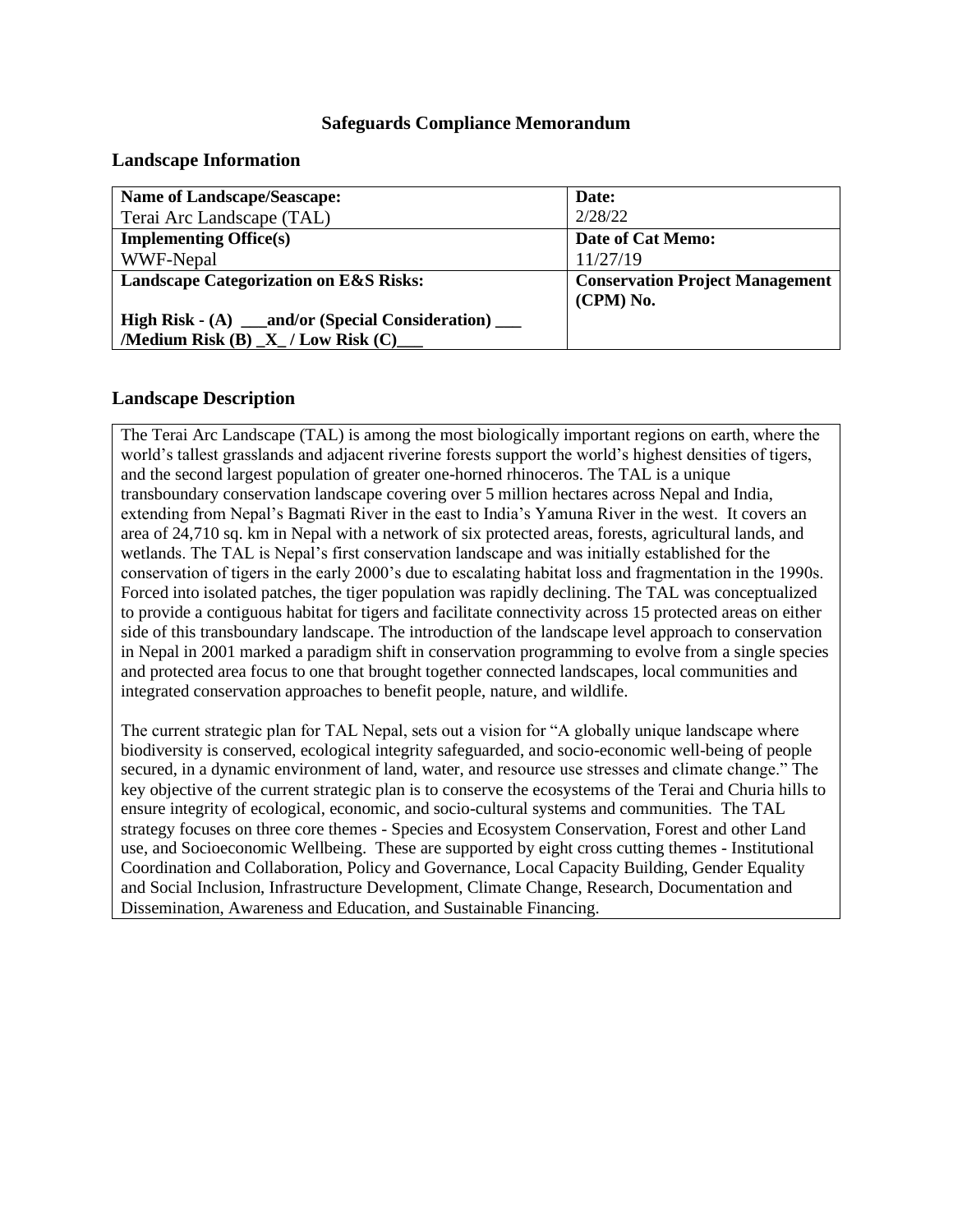## **Safeguards Compliance Memorandum**

#### **Landscape Information**

| <b>Name of Landscape/Seascape:</b>                  | Date:                                  |
|-----------------------------------------------------|----------------------------------------|
| Terai Arc Landscape (TAL)                           | 2/28/22                                |
| <b>Implementing Office(s)</b>                       | Date of Cat Memo:                      |
| WWF-Nepal                                           | 11/27/19                               |
| <b>Landscape Categorization on E&amp;S Risks:</b>   | <b>Conservation Project Management</b> |
|                                                     | (CPM) No.                              |
| High Risk - (A) __and/or (Special Consideration) __ |                                        |
| /Medium Risk $(B)$ $X$ / Low Risk $(C)$             |                                        |

#### **Landscape Description**

The Terai Arc Landscape (TAL) is among the most biologically important regions on earth, where the world's tallest grasslands and adjacent riverine forests support the world's highest densities of tigers, and the second largest population of greater one-horned rhinoceros. The TAL is a unique transboundary conservation landscape covering over 5 million hectares across Nepal and India, extending from Nepal's Bagmati River in the east to India's Yamuna River in the west. It covers an area of 24,710 sq. km in Nepal with a network of six protected areas, forests, agricultural lands, and wetlands. The TAL is Nepal's first conservation landscape and was initially established for the conservation of tigers in the early 2000's due to escalating habitat loss and fragmentation in the 1990s. Forced into isolated patches, the tiger population was rapidly declining. The TAL was conceptualized to provide a contiguous habitat for tigers and facilitate connectivity across 15 protected areas on either side of this transboundary landscape. The introduction of the landscape level approach to conservation in Nepal in 2001 marked a paradigm shift in conservation programming to evolve from a single species and protected area focus to one that brought together connected landscapes, local communities and integrated conservation approaches to benefit people, nature, and wildlife.

The current strategic plan for TAL Nepal, sets out a vision for "A globally unique landscape where biodiversity is conserved, ecological integrity safeguarded, and socio-economic well-being of people secured, in a dynamic environment of land, water, and resource use stresses and climate change." The key objective of the current strategic plan is to conserve the ecosystems of the Terai and Churia hills to ensure integrity of ecological, economic, and socio-cultural systems and communities. The TAL strategy focuses on three core themes - Species and Ecosystem Conservation, Forest and other Land use, and Socioeconomic Wellbeing. These are supported by eight cross cutting themes - Institutional Coordination and Collaboration, Policy and Governance, Local Capacity Building, Gender Equality and Social Inclusion, Infrastructure Development, Climate Change, Research, Documentation and Dissemination, Awareness and Education, and Sustainable Financing.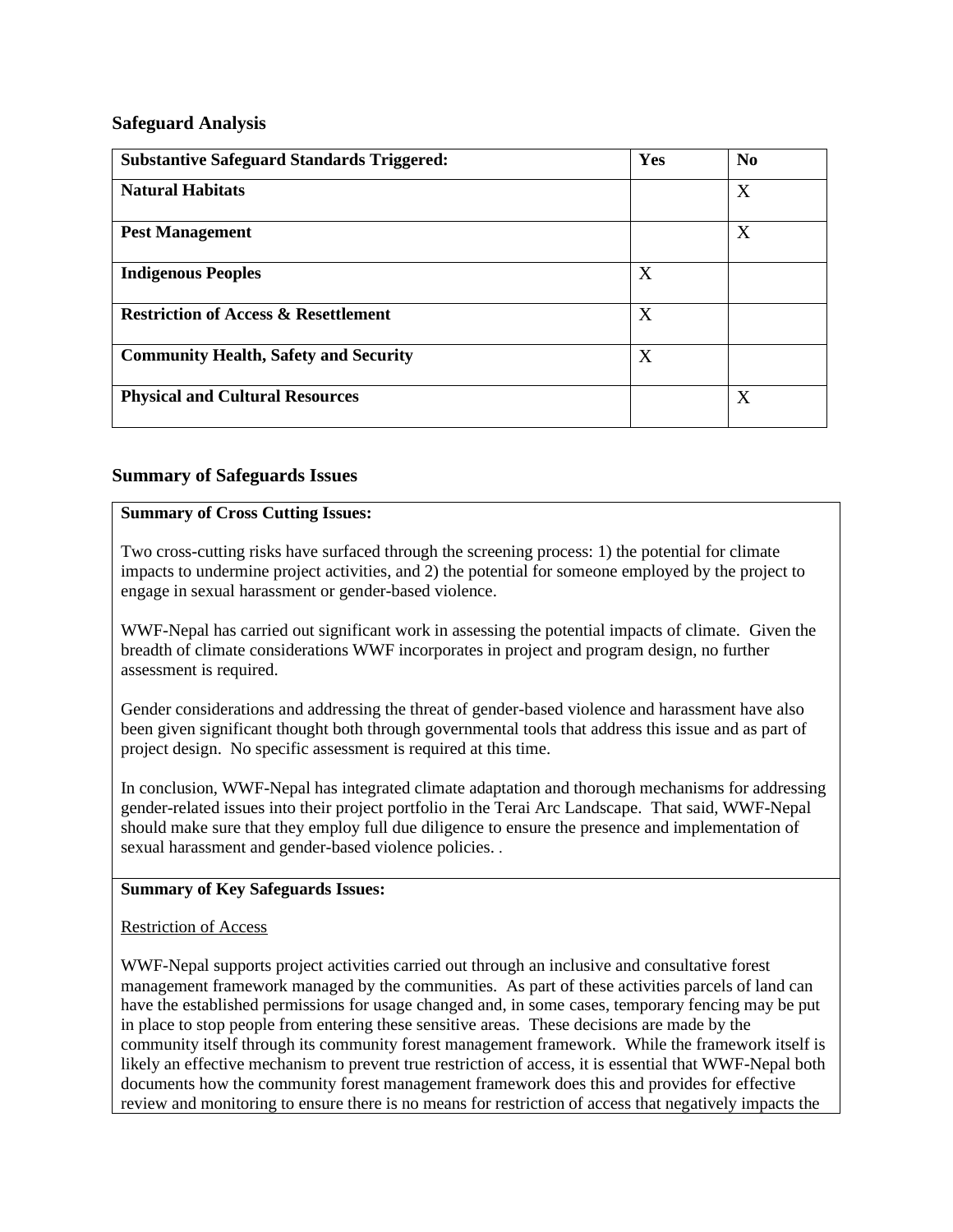## **Safeguard Analysis**

| <b>Substantive Safeguard Standards Triggered:</b> | Yes | N <sub>0</sub> |
|---------------------------------------------------|-----|----------------|
| <b>Natural Habitats</b>                           |     | X              |
| <b>Pest Management</b>                            |     | X              |
| <b>Indigenous Peoples</b>                         | X   |                |
| <b>Restriction of Access &amp; Resettlement</b>   | X   |                |
| <b>Community Health, Safety and Security</b>      | X   |                |
| <b>Physical and Cultural Resources</b>            |     | X              |

## **Summary of Safeguards Issues**

#### **Summary of Cross Cutting Issues:**

Two cross-cutting risks have surfaced through the screening process: 1) the potential for climate impacts to undermine project activities, and 2) the potential for someone employed by the project to engage in sexual harassment or gender-based violence.

WWF-Nepal has carried out significant work in assessing the potential impacts of climate. Given the breadth of climate considerations WWF incorporates in project and program design, no further assessment is required.

Gender considerations and addressing the threat of gender-based violence and harassment have also been given significant thought both through governmental tools that address this issue and as part of project design. No specific assessment is required at this time.

In conclusion, WWF-Nepal has integrated climate adaptation and thorough mechanisms for addressing gender-related issues into their project portfolio in the Terai Arc Landscape. That said, WWF-Nepal should make sure that they employ full due diligence to ensure the presence and implementation of sexual harassment and gender-based violence policies. .

#### **Summary of Key Safeguards Issues:**

#### Restriction of Access

WWF-Nepal supports project activities carried out through an inclusive and consultative forest management framework managed by the communities. As part of these activities parcels of land can have the established permissions for usage changed and, in some cases, temporary fencing may be put in place to stop people from entering these sensitive areas. These decisions are made by the community itself through its community forest management framework. While the framework itself is likely an effective mechanism to prevent true restriction of access, it is essential that WWF-Nepal both documents how the community forest management framework does this and provides for effective review and monitoring to ensure there is no means for restriction of access that negatively impacts the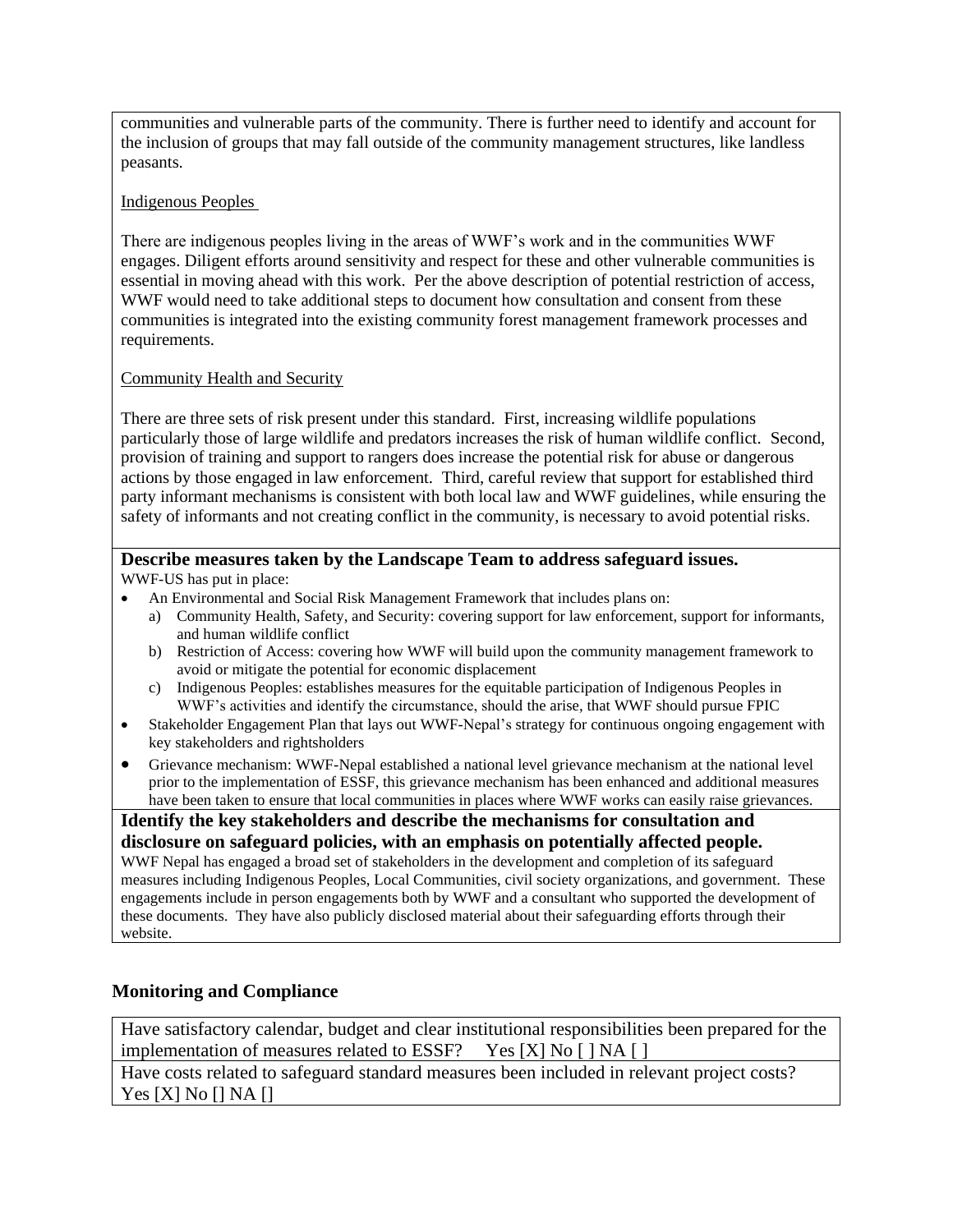communities and vulnerable parts of the community. There is further need to identify and account for the inclusion of groups that may fall outside of the community management structures, like landless peasants.

#### Indigenous Peoples

There are indigenous peoples living in the areas of WWF's work and in the communities WWF engages. Diligent efforts around sensitivity and respect for these and other vulnerable communities is essential in moving ahead with this work. Per the above description of potential restriction of access, WWF would need to take additional steps to document how consultation and consent from these communities is integrated into the existing community forest management framework processes and requirements.

## Community Health and Security

There are three sets of risk present under this standard. First, increasing wildlife populations particularly those of large wildlife and predators increases the risk of human wildlife conflict. Second, provision of training and support to rangers does increase the potential risk for abuse or dangerous actions by those engaged in law enforcement. Third, careful review that support for established third party informant mechanisms is consistent with both local law and WWF guidelines, while ensuring the safety of informants and not creating conflict in the community, is necessary to avoid potential risks.

## **Describe measures taken by the Landscape Team to address safeguard issues.**

WWF-US has put in place:

- An Environmental and Social Risk Management Framework that includes plans on:
	- a) Community Health, Safety, and Security: covering support for law enforcement, support for informants, and human wildlife conflict
	- b) Restriction of Access: covering how WWF will build upon the community management framework to avoid or mitigate the potential for economic displacement
	- c) Indigenous Peoples: establishes measures for the equitable participation of Indigenous Peoples in WWF's activities and identify the circumstance, should the arise, that WWF should pursue FPIC
- Stakeholder Engagement Plan that lays out WWF-Nepal's strategy for continuous ongoing engagement with key stakeholders and rightsholders
- Grievance mechanism: WWF-Nepal established a national level grievance mechanism at the national level prior to the implementation of ESSF, this grievance mechanism has been enhanced and additional measures have been taken to ensure that local communities in places where WWF works can easily raise grievances.

**Identify the key stakeholders and describe the mechanisms for consultation and disclosure on safeguard policies, with an emphasis on potentially affected people.** WWF Nepal has engaged a broad set of stakeholders in the development and completion of its safeguard measures including Indigenous Peoples, Local Communities, civil society organizations, and government. These engagements include in person engagements both by WWF and a consultant who supported the development of these documents. They have also publicly disclosed material about their safeguarding efforts through their website.

## **Monitoring and Compliance**

Have satisfactory calendar, budget and clear institutional responsibilities been prepared for the implementation of measures related to ESSF? Yes [X] No [ ] NA [ ]

Have costs related to safeguard standard measures been included in relevant project costs? Yes [X] No [] NA []